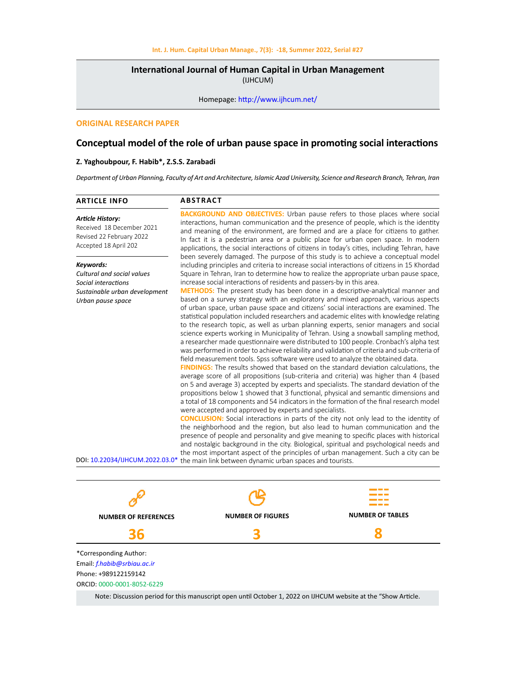# **International Journal of Human Capital in Urban Management**  (IJHCUM)

Homepage: http://www.ijhcum.net/

### **ORIGINAL RESEARCH PAPER**

# **Conceptual model of the role of urban pause space in promoting social interactions**

# **Z. Yaghoubpour, F. Habib\*, Z.S.S. Zarabadi**

*Department of Urban Planning, Faculty of Art and Architecture, Islamic Azad University, Science and Research Branch, Tehran, Iran*

| <b>ARTICLE INFO</b>                                                                                                                                     | <b>ABSTRACT</b>                                                                                                                                                                                                                                                                                                                                                                                                                                                                                                                                                                                                                                                                                                                                                                                                                                                                                                                                                                                                                                                                                                                                                                                                                                                                                                                                                                                                                                                                                                                                                                                                                                                                                                                                                                                                                                                                                                                                                                                                                                                                                                                                                                                                                           |
|---------------------------------------------------------------------------------------------------------------------------------------------------------|-------------------------------------------------------------------------------------------------------------------------------------------------------------------------------------------------------------------------------------------------------------------------------------------------------------------------------------------------------------------------------------------------------------------------------------------------------------------------------------------------------------------------------------------------------------------------------------------------------------------------------------------------------------------------------------------------------------------------------------------------------------------------------------------------------------------------------------------------------------------------------------------------------------------------------------------------------------------------------------------------------------------------------------------------------------------------------------------------------------------------------------------------------------------------------------------------------------------------------------------------------------------------------------------------------------------------------------------------------------------------------------------------------------------------------------------------------------------------------------------------------------------------------------------------------------------------------------------------------------------------------------------------------------------------------------------------------------------------------------------------------------------------------------------------------------------------------------------------------------------------------------------------------------------------------------------------------------------------------------------------------------------------------------------------------------------------------------------------------------------------------------------------------------------------------------------------------------------------------------------|
| <b>Article History:</b><br>Received 18 December 2021<br>Revised 22 February 2022<br>Accepted 18 April 202                                               | <b>BACKGROUND AND OBJECTIVES:</b> Urban pause refers to those places where social<br>interactions, human communication and the presence of people, which is the identity<br>and meaning of the environment, are formed and are a place for citizens to gather.<br>In fact it is a pedestrian area or a public place for urban open space. In modern<br>applications, the social interactions of citizens in today's cities, including Tehran, have                                                                                                                                                                                                                                                                                                                                                                                                                                                                                                                                                                                                                                                                                                                                                                                                                                                                                                                                                                                                                                                                                                                                                                                                                                                                                                                                                                                                                                                                                                                                                                                                                                                                                                                                                                                        |
| Keywords:<br>Cultural and social values<br>Social interactions<br>Sustainable urban development<br>Urban pause space<br>DOI: 10.22034/IJHCUM.2022.03.0* | been severely damaged. The purpose of this study is to achieve a conceptual model<br>including principles and criteria to increase social interactions of citizens in 15 Khordad<br>Square in Tehran, Iran to determine how to realize the appropriate urban pause space,<br>increase social interactions of residents and passers-by in this area.<br><b>METHODS:</b> The present study has been done in a descriptive-analytical manner and<br>based on a survey strategy with an exploratory and mixed approach, various aspects<br>of urban space, urban pause space and citizens' social interactions are examined. The<br>statistical population included researchers and academic elites with knowledge relating<br>to the research topic, as well as urban planning experts, senior managers and social<br>science experts working in Municipality of Tehran. Using a snowball sampling method,<br>a researcher made questionnaire were distributed to 100 people. Cronbach's alpha test<br>was performed in order to achieve reliability and validation of criteria and sub-criteria of<br>field measurement tools. Spss software were used to analyze the obtained data.<br><b>FINDINGS:</b> The results showed that based on the standard deviation calculations, the<br>average score of all propositions (sub-criteria and criteria) was higher than 4 (based<br>on 5 and average 3) accepted by experts and specialists. The standard deviation of the<br>propositions below 1 showed that 3 functional, physical and semantic dimensions and<br>a total of 18 components and 54 indicators in the formation of the final research model<br>were accepted and approved by experts and specialists.<br><b>CONCLUSION:</b> Social interactions in parts of the city not only lead to the identity of<br>the neighborhood and the region, but also lead to human communication and the<br>presence of people and personality and give meaning to specific places with historical<br>and nostalgic background in the city. Biological, spiritual and psychological needs and<br>the most important aspect of the principles of urban management. Such a city can be<br>the main link between dynamic urban spaces and tourists. |



Note: Discussion period for this manuscript open until October 1, 2022 on IJHCUM website at the "Show Article.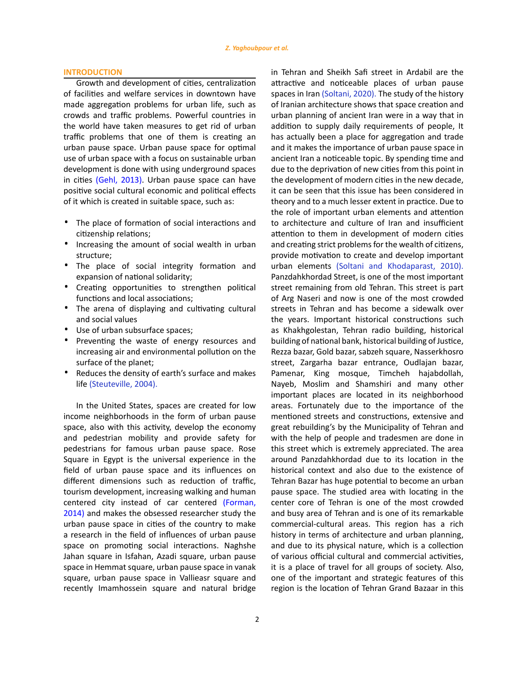### **INTRODUCTION**

Growth and development of cities, centralization of facilities and welfare services in downtown have made aggregation problems for urban life, such as crowds and traffic problems. Powerful countries in the world have taken measures to get rid of urban traffic problems that one of them is creating an urban pause space. Urban pause space for optimal use of urban space with a focus on sustainable urban development is done with using underground spaces in cities (Gehl, 2013). Urban pause space can have positive social cultural economic and political effects of it which is created in suitable space, such as:

- · The place of formation of social interactions and citizenship relations;
- · Increasing the amount of social wealth in urban structure;
- · The place of social integrity formation and expansion of national solidarity;
- · Creating opportunities to strengthen political functions and local associations;
- · The arena of displaying and cultivating cultural and social values
- · Use of urban subsurface spaces;
- · Preventing the waste of energy resources and increasing air and environmental pollution on the surface of the planet;
- Reduces the density of earth's surface and makes life (Steuteville, 2004).

In the United States, spaces are created for low income neighborhoods in the form of urban pause space, also with this activity, develop the economy and pedestrian mobility and provide safety for pedestrians for famous urban pause space. Rose Square in Egypt is the universal experience in the field of urban pause space and its influences on different dimensions such as reduction of traffic, tourism development, increasing walking and human centered city instead of car centered (Forman, 2014) and makes the obsessed researcher study the urban pause space in cities of the country to make a research in the field of influences of urban pause space on promoting social interactions. Naghshe Jahan square in Isfahan, Azadi square, urban pause space in Hemmat square, urban pause space in vanak square, urban pause space in Vallieasr square and recently Imamhossein square and natural bridge

in Tehran and Sheikh Safi street in Ardabil are the attractive and noticeable places of urban pause spaces in Iran (Soltani, 2020). The study of the history of Iranian architecture shows that space creation and urban planning of ancient Iran were in a way that in addition to supply daily requirements of people, It has actually been a place for aggregation and trade and it makes the importance of urban pause space in ancient Iran a noticeable topic. By spending time and due to the deprivation of new cities from this point in the development of modern cities in the new decade, it can be seen that this issue has been considered in theory and to a much lesser extent in practice. Due to the role of important urban elements and attention to architecture and culture of Iran and insufficient attention to them in development of modern cities and creating strict problems for the wealth of citizens, provide motivation to create and develop important urban elements (Soltani and Khodaparast, 2010). Panzdahkhordad Street, is one of the most important street remaining from old Tehran. This street is part of Arg Naseri and now is one of the most crowded streets in Tehran and has become a sidewalk over the years. Important historical constructions such as Khakhgolestan, Tehran radio building, historical building of national bank, historical building of Justice, Rezza bazar, Gold bazar, sabzeh square, Nasserkhosro street, Zargarha bazar entrance, Oudlajan bazar, Pamenar, King mosque, Timcheh hajabdollah, Nayeb, Moslim and Shamshiri and many other important places are located in its neighborhood areas. Fortunately due to the importance of the mentioned streets and constructions, extensive and great rebuilding's by the Municipality of Tehran and with the help of people and tradesmen are done in this street which is extremely appreciated. The area around Panzdahkhordad due to its location in the historical context and also due to the existence of Tehran Bazar has huge potential to become an urban pause space. The studied area with locating in the center core of Tehran is one of the most crowded and busy area of Tehran and is one of its remarkable commercial-cultural areas. This region has a rich history in terms of architecture and urban planning, and due to its physical nature, which is a collection of various official cultural and commercial activities, it is a place of travel for all groups of society. Also, one of the important and strategic features of this region is the location of Tehran Grand Bazaar in this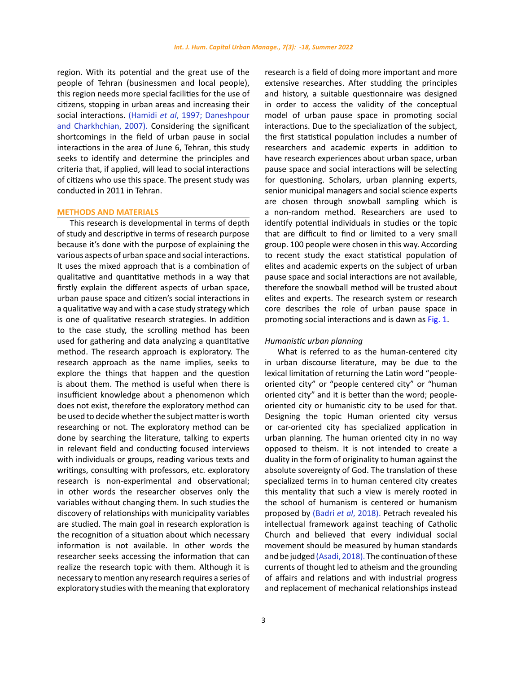region. With its potential and the great use of the people of Tehran (businessmen and local people), this region needs more special facilities for the use of citizens, stopping in urban areas and increasing their social interactions. (Hamidi *et al*, 1997; Daneshpour and Charkhchian, 2007). Considering the significant shortcomings in the field of urban pause in social interactions in the area of June 6, Tehran, this study seeks to identify and determine the principles and criteria that, if applied, will lead to social interactions of citizens who use this space. The present study was conducted in 2011 in Tehran.

### **METHODS AND MATERIALS**

This research is developmental in terms of depth of study and descriptive in terms of research purpose because it's done with the purpose of explaining the various aspects of urban space and social interactions. It uses the mixed approach that is a combination of qualitative and quantitative methods in a way that firstly explain the different aspects of urban space, urban pause space and citizen's social interactions in a qualitative way and with a case study strategy which is one of qualitative research strategies. In addition to the case study, the scrolling method has been used for gathering and data analyzing a quantitative method. The research approach is exploratory. The research approach as the name implies, seeks to explore the things that happen and the question is about them. The method is useful when there is insufficient knowledge about a phenomenon which does not exist, therefore the exploratory method can be used to decide whether the subject matter is worth researching or not. The exploratory method can be done by searching the literature, talking to experts in relevant field and conducting focused interviews with individuals or groups, reading various texts and writings, consulting with professors, etc. exploratory research is non-experimental and observational; in other words the researcher observes only the variables without changing them. In such studies the discovery of relationships with municipality variables are studied. The main goal in research exploration is the recognition of a situation about which necessary information is not available. In other words the researcher seeks accessing the information that can realize the research topic with them. Although it is necessary to mention any research requires a series of exploratory studies with the meaning that exploratory research is a field of doing more important and more extensive researches. After studding the principles and history, a suitable questionnaire was designed in order to access the validity of the conceptual model of urban pause space in promoting social interactions. Due to the specialization of the subject, the first statistical population includes a number of researchers and academic experts in addition to have research experiences about urban space, urban pause space and social interactions will be selecting for questioning. Scholars, urban planning experts, senior municipal managers and social science experts are chosen through snowball sampling which is a non-random method. Researchers are used to identify potential individuals in studies or the topic that are difficult to find or limited to a very small group. 100 people were chosen in this way. According to recent study the exact statistical population of elites and academic experts on the subject of urban pause space and social interactions are not available, therefore the snowball method will be trusted about elites and experts. The research system or research core describes the role of urban pause space in promoting social interactions and is dawn as Fig. 1.

### *Humanistic urban planning*

What is referred to as the human-centered city in urban discourse literature, may be due to the lexical limitation of returning the Latin word "peopleoriented city" or "people centered city" or "human oriented city" and it is better than the word; peopleoriented city or humanistic city to be used for that. Designing the topic Human oriented city versus or car-oriented city has specialized application in urban planning. The human oriented city in no way opposed to theism. It is not intended to create a duality in the form of originality to human against the absolute sovereignty of God. The translation of these specialized terms in to human centered city creates this mentality that such a view is merely rooted in the school of humanism is centered or humanism proposed by (Badri *et al*, 2018). Petrach revealed his intellectual framework against teaching of Catholic Church and believed that every individual social movement should be measured by human standards and be judged (Asadi, 2018). The continuation of these currents of thought led to atheism and the grounding of affairs and relations and with industrial progress and replacement of mechanical relationships instead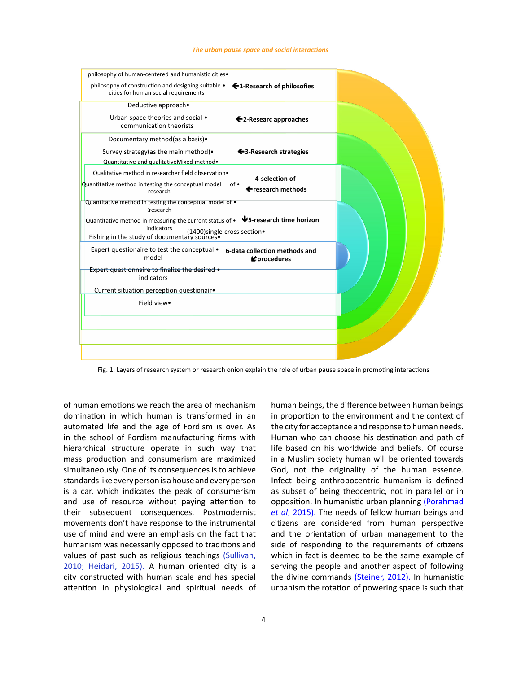#### *The urban pause space and social interactions*



Fig. 1: Layers of research system or research onion explain the role of urban pause space in promoting interactions

of human emotions we reach the area of mechanism domination in which human is transformed in an automated life and the age of Fordism is over. As in the school of Fordism manufacturing firms with hierarchical structure operate in such way that mass production and consumerism are maximized simultaneously. One of its consequences is to achieve standards like every person is a house and every person is a car, which indicates the peak of consumerism and use of resource without paying attention to their subsequent consequences. Postmodernist movements don't have response to the instrumental use of mind and were an emphasis on the fact that humanism was necessarily opposed to traditions and values of past such as religious teachings (Sullivan, 2010; Heidari, 2015). A human oriented city is a city constructed with human scale and has special attention in physiological and spiritual needs of

human beings, the difference between human beings in proportion to the environment and the context of the city for acceptance and response to human needs. Human who can choose his destination and path of life based on his worldwide and beliefs. Of course in a Muslim society human will be oriented towards God, not the originality of the human essence. Infect being anthropocentric humanism is defined as subset of being theocentric, not in parallel or in opposition. In humanistic urban planning (Porahmad *et al*, 2015). The needs of fellow human beings and citizens are considered from human perspective and the orientation of urban management to the side of responding to the requirements of citizens which in fact is deemed to be the same example of serving the people and another aspect of following the divine commands (Steiner, 2012). In humanistic urbanism the rotation of powering space is such that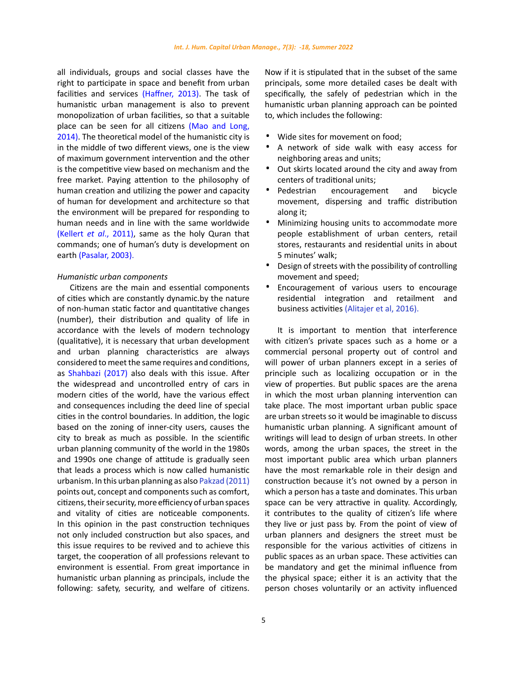all individuals, groups and social classes have the right to participate in space and benefit from urban facilities and services (Haffner, 2013). The task of humanistic urban management is also to prevent monopolization of urban facilities, so that a suitable place can be seen for all citizens (Mao and Long, 2014). The theoretical model of the humanistic city is in the middle of two different views, one is the view of maximum government intervention and the other is the competitive view based on mechanism and the free market. Paying attention to the philosophy of human creation and utilizing the power and capacity of human for development and architecture so that the environment will be prepared for responding to human needs and in line with the same worldwide (Kellert *et al*., 2011), same as the holy Quran that commands; one of human's duty is development on earth (Pasalar, 2003).

### *Humanistic urban components*

Citizens are the main and essential components of cities which are constantly dynamic.by the nature of non-human static factor and quantitative changes (number), their distribution and quality of life in accordance with the levels of modern technology (qualitative), it is necessary that urban development and urban planning characteristics are always considered to meet the same requires and conditions, as Shahbazi (2017) also deals with this issue. After the widespread and uncontrolled entry of cars in modern cities of the world, have the various effect and consequences including the deed line of special cities in the control boundaries. In addition, the logic based on the zoning of inner-city users, causes the city to break as much as possible. In the scientific urban planning community of the world in the 1980s and 1990s one change of attitude is gradually seen that leads a process which is now called humanistic urbanism. In this urban planning as also Pakzad (2011) points out, concept and components such as comfort, citizens, their security, more efficiency of urban spaces and vitality of cities are noticeable components. In this opinion in the past construction techniques not only included construction but also spaces, and this issue requires to be revived and to achieve this target, the cooperation of all professions relevant to environment is essential. From great importance in humanistic urban planning as principals, include the following: safety, security, and welfare of citizens.

5

Now if it is stipulated that in the subset of the same principals, some more detailed cases be dealt with specifically, the safely of pedestrian which in the humanistic urban planning approach can be pointed to, which includes the following:

- Wide sites for movement on food;<br>• A network of side walk with ea
- · A network of side walk with easy access for neighboring areas and units;
- · Out skirts located around the city and away from centers of traditional units;
- enters or traditional units;<br>
 Pedestrian encouragement and bicycle<br>
movement, dispersing and traffic distribution along it;
- · Minimizing housing units to accommodate more people establishment of urban centers, retail stores, restaurants and residential units in about 5 minutes' walk;
- Design of streets with the possibility of controlling movement and speed;
- Encouragement of various users to encourage residential integration and retailment and business activities (Alitajer et al, 2016).

It is important to mention that interference with citizen's private spaces such as a home or a commercial personal property out of control and will power of urban planners except in a series of principle such as localizing occupation or in the view of properties. But public spaces are the arena in which the most urban planning intervention can take place. The most important urban public space are urban streets so it would be imaginable to discuss humanistic urban planning. A significant amount of writings will lead to design of urban streets. In other words, among the urban spaces, the street in the most important public area which urban planners have the most remarkable role in their design and construction because it's not owned by a person in which a person has a taste and dominates. This urban space can be very attractive in quality. Accordingly, it contributes to the quality of citizen's life where they live or just pass by. From the point of view of urban planners and designers the street must be responsible for the various activities of citizens in public spaces as an urban space. These activities can be mandatory and get the minimal influence from the physical space; either it is an activity that the person choses voluntarily or an activity influenced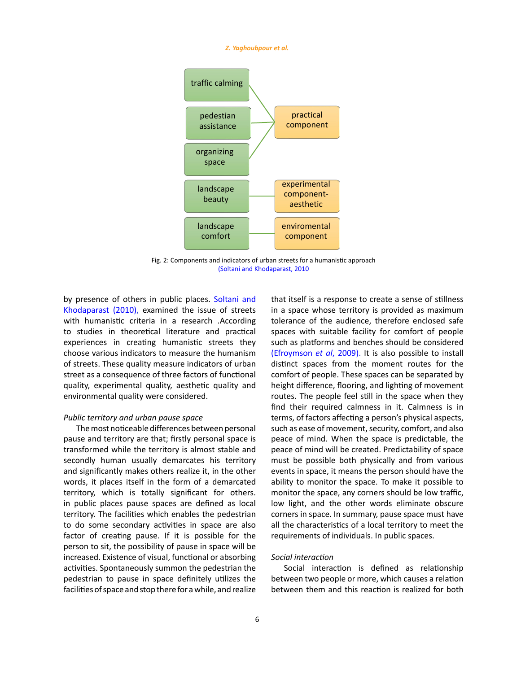#### *Z. Yaghoubpour et al.*



Fig. 2: Components and indicators of urban streets for a humanistic approach (Soltani and Khodaparast, 2010Fig. 2: Components and indicators of urban streets for a humanistic approach

by presence of others in public places. Soltani and Khodaparast (2010), examined the issue of streets with humanistic criteria in a research .According to studies in theoretical literature and practical experiences in creating humanistic streets they choose various indicators to measure the humanism of streets. These quality measure indicators of urban street as a consequence of three factors of functional quality, experimental quality, aesthetic quality and environmental quality were considered.

### *Public territory and urban pause space*

The most noticeable differences between personal pause and territory are that; firstly personal space is transformed while the territory is almost stable and secondly human usually demarcates his territory and significantly makes others realize it, in the other words, it places itself in the form of a demarcated territory, which is totally significant for others. in public places pause spaces are defined as local territory. The facilities which enables the pedestrian to do some secondary activities in space are also factor of creating pause. If it is possible for the person to sit, the possibility of pause in space will be increased. Existence of visual, functional or absorbing activities. Spontaneously summon the pedestrian the pedestrian to pause in space definitely utilizes the facilities of space and stop there for a while, and realize

that itself is a response to create a sense of stillness in a space whose territory is provided as maximum tolerance of the audience, therefore enclosed safe spaces with suitable facility for comfort of people such as platforms and benches should be considered (Efroymson *et al*, 2009). It is also possible to install distinct spaces from the moment routes for the comfort of people. These spaces can be separated by height difference, flooring, and lighting of movement routes. The people feel still in the space when they find their required calmness in it. Calmness is in terms, of factors affecting a person's physical aspects, such as ease of movement, security, comfort, and also peace of mind. When the space is predictable, the peace of mind will be created. Predictability of space must be possible both physically and from various events in space, it means the person should have the ability to monitor the space. To make it possible to monitor the space, any corners should be low traffic, low light, and the other words eliminate obscure corners in space. In summary, pause space must have all the characteristics of a local territory to meet the requirements of individuals. In public spaces.

## *Social interaction*

Social interaction is defined as relationship between two people or more, which causes a relation between them and this reaction is realized for both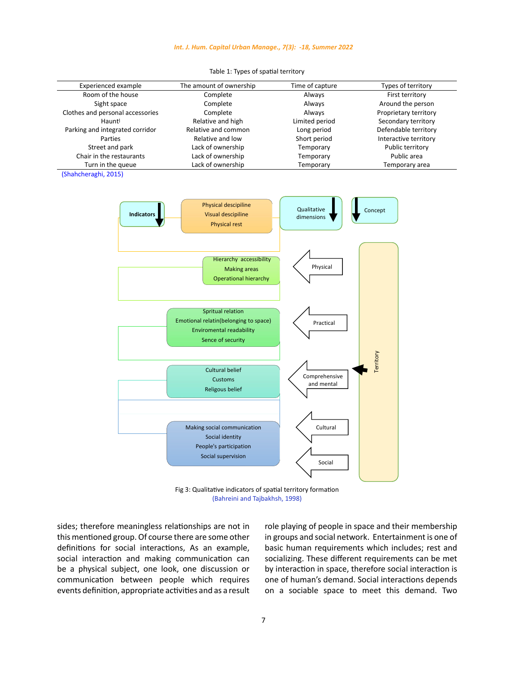### *Int. J. Hum. Capital Urban Manage., 7(3): -18, Summer 2022*

| <b>Experienced example</b>                | The amount of ownership                                                                                            | Time of capture             | Types of territory    |
|-------------------------------------------|--------------------------------------------------------------------------------------------------------------------|-----------------------------|-----------------------|
| Room of the house                         | Complete                                                                                                           | Always                      | First territory       |
| Sight space                               | Complete                                                                                                           | Always                      | Around the person     |
| Clothes and personal accessories          | Complete                                                                                                           | Always                      | Proprietary territory |
| Hauntl                                    | Relative and high                                                                                                  | Limited period              | Secondary territory   |
| Parking and integrated corridor           | Relative and common                                                                                                | Long period                 | Defendable territory  |
| Parties                                   | Relative and low                                                                                                   | Short period                | Interactive territory |
|                                           |                                                                                                                    |                             |                       |
| Street and park                           | Lack of ownership                                                                                                  | Temporary                   | Public territory      |
| Chair in the restaurants                  | Lack of ownership                                                                                                  | Temporary                   | Public area           |
| Turn in the queue<br>(Shahcheraghi, 2015) | Lack of ownership                                                                                                  | Temporary                   | Temporary area        |
| Indicators                                | Physical descipiline<br>Visual descipiline<br><b>Physical rest</b>                                                 | Qualitative<br>dimensions   | Concept               |
|                                           | Hierarchy accessibility<br><b>Making areas</b><br><b>Operational hierarchy</b>                                     | Physical                    |                       |
|                                           | Spritual relation<br>Emotional relatin(belonging to space)<br><b>Enviromental readability</b><br>Sence of security | Practical                   |                       |
|                                           | <b>Cultural belief</b><br>Customs<br><b>Religous belief</b>                                                        | Comprehensive<br>and mental | Territory             |
|                                           | Making social communication<br>Social identity<br>People's participation<br>Social supervision                     | Cultural<br>Social          |                       |

Table 1: Types of spatial territory Table 1: Types of spatial territory

Fig 3: Qualitative indicators of spatial territory formation Fig 3: Qualitative indicators of spatial territory formation (Bahreini and Tajbakhsh, 1998) (Bahreini and Tajbakhsh, 1998)

sides; therefore meaningless relationships are not in this mentioned group. Of course there are some other definitions for social interactions, As an example, social interaction and making communication can be a physical subject, one look, one discussion or communication between people which requires events definition, appropriate activities and as a result role playing of people in space and their membership in groups and social network. Entertainment is one of basic human requirements which includes; rest and socializing. These different requirements can be met by interaction in space, therefore social interaction is one of human's demand. Social interactions depends on a sociable space to meet this demand. Two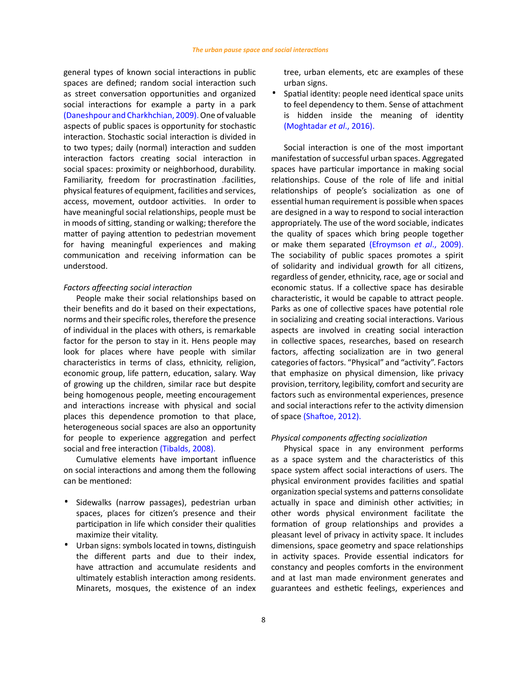general types of known social interactions in public spaces are defined; random social interaction such as street conversation opportunities and organized social interactions for example a party in a park (Daneshpour and Charkhchian, 2009). One of valuable aspects of public spaces is opportunity for stochastic interaction. Stochastic social interaction is divided in to two types; daily (normal) interaction and sudden interaction factors creating social interaction in social spaces: proximity or neighborhood, durability. Familiarity, freedom for procrastination .facilities, physical features of equipment, facilities and services, access, movement, outdoor activities. In order to have meaningful social relationships, people must be in moods of sitting, standing or walking; therefore the matter of paying attention to pedestrian movement for having meaningful experiences and making communication and receiving information can be understood.

### *Factors affeecting social interaction*

People make their social relationships based on their benefits and do it based on their expectations, norms and their specific roles, therefore the presence of individual in the places with others, is remarkable factor for the person to stay in it. Hens people may look for places where have people with similar characteristics in terms of class, ethnicity, religion, economic group, life pattern, education, salary. Way of growing up the children, similar race but despite being homogenous people, meeting encouragement and interactions increase with physical and social places this dependence promotion to that place, heterogeneous social spaces are also an opportunity for people to experience aggregation and perfect social and free interaction (Tibalds, 2008).

Cumulative elements have important influence on social interactions and among them the following can be mentioned:

- Sidewalks (narrow passages), pedestrian urban spaces, places for citizen's presence and their participation in life which consider their qualities maximize their vitality.
- · Urban signs: symbols located in towns, distinguish the different parts and due to their index, have attraction and accumulate residents and ultimately establish interaction among residents. Minarets, mosques, the existence of an index

tree, urban elements, etc are examples of these urban signs.

Spatial identity: people need identical space units to feel dependency to them. Sense of attachment is hidden inside the meaning of identity (Moghtadar *et al*., 2016).

Social interaction is one of the most important manifestation of successful urban spaces. Aggregated spaces have particular importance in making social relationships. Couse of the role of life and initial relationships of people's socialization as one of essential human requirement is possible when spaces are designed in a way to respond to social interaction appropriately. The use of the word sociable, indicates the quality of spaces which bring people together or make them separated (Efroymson *et al*., 2009). The sociability of public spaces promotes a spirit of solidarity and individual growth for all citizens, regardless of gender, ethnicity, race, age or social and economic status. If a collective space has desirable characteristic, it would be capable to attract people. Parks as one of collective spaces have potential role in socializing and creating social interactions. Various aspects are involved in creating social interaction in collective spaces, researches, based on research factors, affecting socialization are in two general categories of factors. "Physical" and "activity". Factors that emphasize on physical dimension, like privacy provision, territory, legibility, comfort and security are factors such as environmental experiences, presence and social interactions refer to the activity dimension of space (Shaftoe, 2012).

### *Physical components affecting socialization*

Physical space in any environment performs as a space system and the characteristics of this space system affect social interactions of users. The physical environment provides facilities and spatial organization special systems and patterns consolidate actually in space and diminish other activities; in other words physical environment facilitate the formation of group relationships and provides a pleasant level of privacy in activity space. It includes dimensions, space geometry and space relationships in activity spaces. Provide essential indicators for constancy and peoples comforts in the environment and at last man made environment generates and guarantees and esthetic feelings, experiences and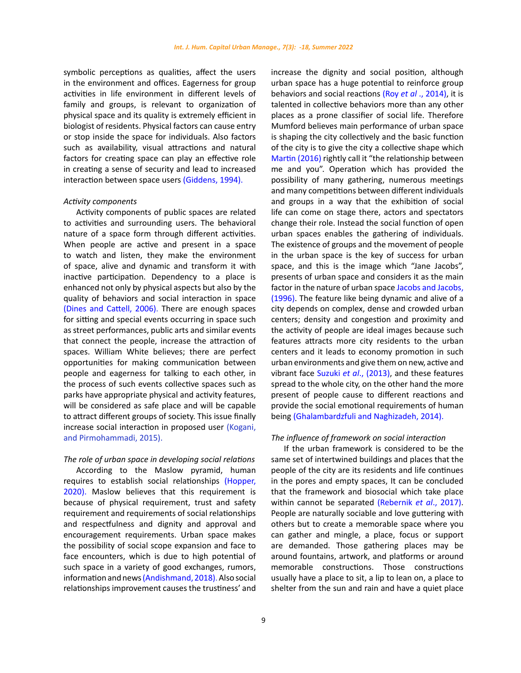symbolic perceptions as qualities, affect the users in the environment and offices. Eagerness for group activities in life environment in different levels of family and groups, is relevant to organization of physical space and its quality is extremely efficient in biologist of residents. Physical factors can cause entry or stop inside the space for individuals. Also factors such as availability, visual attractions and natural factors for creating space can play an effective role in creating a sense of security and lead to increased interaction between space users (Giddens, 1994).

### *Activity components*

Activity components of public spaces are related to activities and surrounding users. The behavioral nature of a space form through different activities. When people are active and present in a space to watch and listen, they make the environment of space, alive and dynamic and transform it with inactive participation. Dependency to a place is enhanced not only by physical aspects but also by the quality of behaviors and social interaction in space (Dines and Cattell, 2006). There are enough spaces for sitting and special events occurring in space such as street performances, public arts and similar events that connect the people, increase the attraction of spaces. William White believes; there are perfect opportunities for making communication between people and eagerness for talking to each other, in the process of such events collective spaces such as parks have appropriate physical and activity features, will be considered as safe place and will be capable to attract different groups of society. This issue finally increase social interaction in proposed user (Kogani, and Pirmohammadi, 2015).

#### *The role of urban space in developing social relations*

According to the Maslow pyramid, human requires to establish social relationships (Hopper, 2020). Maslow believes that this requirement is because of physical requirement, trust and safety requirement and requirements of social relationships and respectfulness and dignity and approval and encouragement requirements. Urban space makes the possibility of social scope expansion and face to face encounters, which is due to high potential of such space in a variety of good exchanges, rumors, information and news (Andishmand, 2018). Also social relationships improvement causes the trustiness' and increase the dignity and social position, although urban space has a huge potential to reinforce group behaviors and social reactions (Roy *et al* ., 2014), it is talented in collective behaviors more than any other places as a prone classifier of social life. Therefore Mumford believes main performance of urban space is shaping the city collectively and the basic function of the city is to give the city a collective shape which Martin (2016) rightly call it "the relationship between me and you". Operation which has provided the possibility of many gathering, numerous meetings and many competitions between different individuals and groups in a way that the exhibition of social life can come on stage there, actors and spectators change their role. Instead the social function of open urban spaces enables the gathering of individuals. The existence of groups and the movement of people in the urban space is the key of success for urban space, and this is the image which "Jane Jacobs", presents of urban space and considers it as the main factor in the nature of urban space Jacobs and Jacobs, (1996). The feature like being dynamic and alive of a city depends on complex, dense and crowded urban centers; density and congestion and proximity and the activity of people are ideal images because such features attracts more city residents to the urban centers and it leads to economy promotion in such urban environments and give them on new, active and vibrant face Suzuki *et al*., (2013), and these features spread to the whole city, on the other hand the more present of people cause to different reactions and provide the social emotional requirements of human being (Ghalambardzfuli and Naghizadeh, 2014).

### *The influence of framework on social interaction*

If the urban framework is considered to be the same set of intertwined buildings and places that the people of the city are its residents and life continues in the pores and empty spaces, It can be concluded that the framework and biosocial which take place within cannot be separated (Rebernik *et al*., 2017). People are naturally sociable and love guttering with others but to create a memorable space where you can gather and mingle, a place, focus or support are demanded. Those gathering places may be around fountains, artwork, and platforms or around memorable constructions. Those constructions usually have a place to sit, a lip to lean on, a place to shelter from the sun and rain and have a quiet place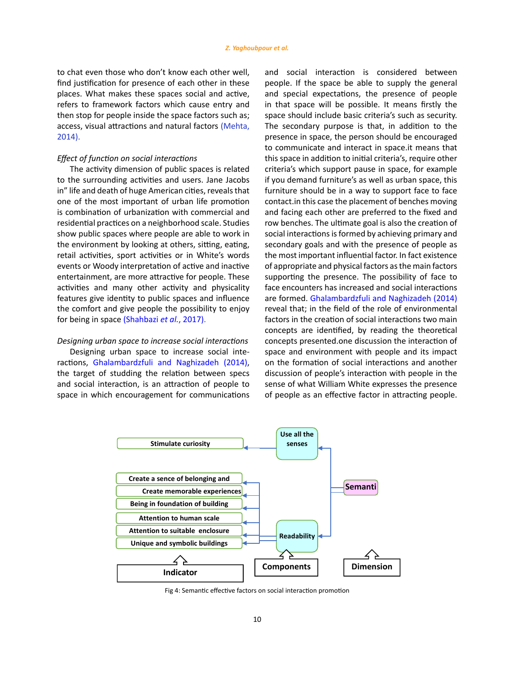to chat even those who don't know each other well, find justification for presence of each other in these places. What makes these spaces social and active, refers to framework factors which cause entry and then stop for people inside the space factors such as; access, visual attractions and natural factors (Mehta, 2014).

#### *Effect of function on social interactions*

The activity dimension of public spaces is related to the surrounding activities and users. Jane Jacobs in" life and death of huge American cities, reveals that one of the most important of urban life promotion is combination of urbanization with commercial and residential practices on a neighborhood scale. Studies show public spaces where people are able to work in the environment by looking at others, sitting, eating, retail activities, sport activities or in White's words events or Woody interpretation of active and inactive entertainment, are more attractive for people. These activities and many other activity and physicality features give identity to public spaces and influence the comfort and give people the possibility to enjoy for being in space (Shahbazi *et al.*, 2017).

# *Designing urban space to increase social interactions*

Designing urban space to increase social interactions, Ghalambardzfuli and Naghizadeh (2014), the target of studding the relation between specs and social interaction, is an attraction of people to space in which encouragement for communications and social interaction is considered between people. If the space be able to supply the general and special expectations, the presence of people in that space will be possible. It means firstly the space should include basic criteria's such as security. The secondary purpose is that, in addition to the presence in space, the person should be encouraged to communicate and interact in space.it means that this space in addition to initial criteria's, require other criteria's which support pause in space, for example if you demand furniture's as well as urban space, this furniture should be in a way to support face to face contact.in this case the placement of benches moving and facing each other are preferred to the fixed and row benches. The ultimate goal is also the creation of social interactions is formed by achieving primary and secondary goals and with the presence of people as the most important influential factor. In fact existence of appropriate and physical factors as the main factors supporting the presence. The possibility of face to face encounters has increased and social interactions are formed. Ghalambardzfuli and Naghizadeh (2014) reveal that; in the field of the role of environmental factors in the creation of social interactions two main concepts are identified, by reading the theoretical concepts presented.one discussion the interaction of space and environment with people and its impact on the formation of social interactions and another discussion of people's interaction with people in the sense of what William White expresses the presence of people as an effective factor in attracting people.



Fig 4: Semantic effective factors on social interaction promotion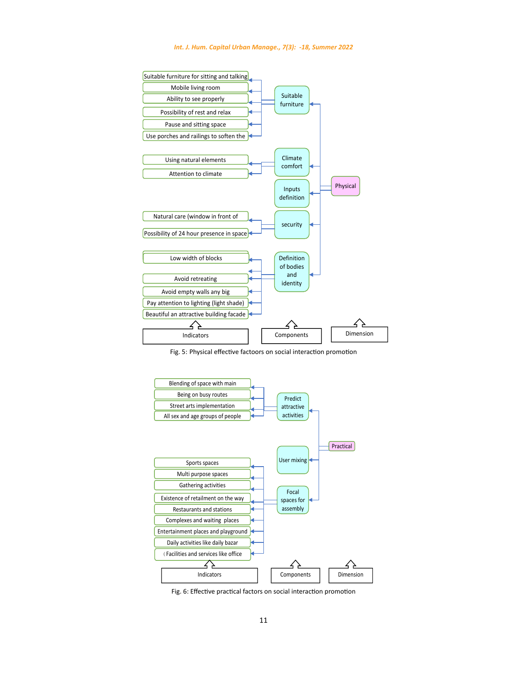

Fig. 5: Physical effective factoors on social interaction promotion



Fig. 6: Effective practical factors on social interaction promotion Fig. 6: Effective practical factors on social interaction promotion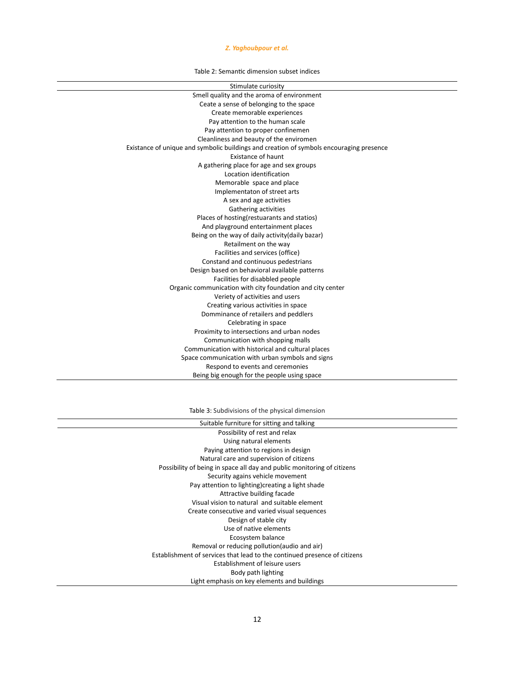# *Z. Yaghoubpour et al.*

Table 2: Semantic dimension subset indices

| Stimulate curiosity                                                                     |
|-----------------------------------------------------------------------------------------|
| Smell quality and the aroma of environment                                              |
| Ceate a sense of belonging to the space                                                 |
| Create memorable experiences                                                            |
| Pay attention to the human scale                                                        |
| Pay attention to proper confinemen                                                      |
| Cleanliness and beauty of the enviromen                                                 |
| Existance of unique and symbolic buildings and creation of symbols encouraging presence |
| Existance of haunt                                                                      |
| A gathering place for age and sex groups                                                |
| Location identification                                                                 |
| Memorable space and place                                                               |
| Implementaton of street arts                                                            |
| A sex and age activities                                                                |
| Gathering activities                                                                    |
| Places of hosting(restuarants and statios)                                              |
| And playground entertainment places                                                     |
| Being on the way of daily activity(daily bazar)                                         |
| Retailment on the way                                                                   |
| Facilities and services (office)                                                        |
| Constand and continuous pedestrians                                                     |
| Design based on behavioral available patterns                                           |
| Facilities for disabbled people                                                         |
| Organic communication with city foundation and city center                              |
| Veriety of activities and users                                                         |
| Creating various activities in space                                                    |
| Domminance of retailers and peddlers                                                    |
| Celebrating in space                                                                    |
| Proximity to intersections and urban nodes                                              |
| Communication with shopping malls                                                       |
| Communication with historical and cultural places                                       |
| Space communication with urban symbols and signs                                        |
| Respond to events and ceremonies                                                        |
| Being big enough for the people using space                                             |
|                                                                                         |

Table 3: Subdivisions of the physical dimension Table 3: Subdivisions of the physical dimension

| Suitable furniture for sitting and talking                                |
|---------------------------------------------------------------------------|
| Possibility of rest and relax                                             |
| Using natural elements                                                    |
| Paying attention to regions in design                                     |
| Natural care and supervision of citizens                                  |
| Possibility of being in space all day and public monitoring of citizens   |
| Security agains vehicle movement                                          |
| Pay attention to lighting) creating a light shade                         |
| Attractive building facade                                                |
| Visual vision to natural and suitable element                             |
| Create consecutive and varied visual sequences                            |
| Design of stable city                                                     |
| Use of native elements                                                    |
| Ecosystem balance                                                         |
| Removal or reducing pollution (audio and air)                             |
| Establishment of services that lead to the continued presence of citizens |
| Establishment of leisure users                                            |
| Body path lighting                                                        |
| Light emphasis on key elements and buildings                              |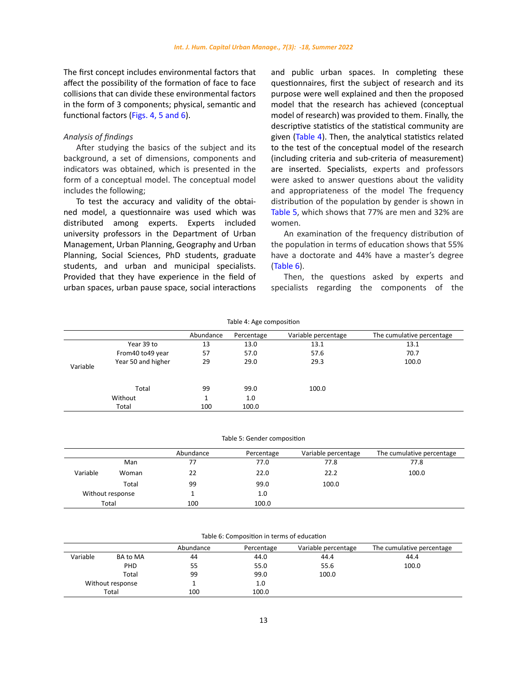The first concept includes environmental factors that affect the possibility of the formation of face to face collisions that can divide these environmental factors in the form of 3 components; physical, semantic and functional factors (Figs. 4, 5 and 6).

## *Analysis of findings*

After studying the basics of the subject and its background, a set of dimensions, components and indicators was obtained, which is presented in the form of a conceptual model. The conceptual model includes the following;

To test the accuracy and validity of the obtained model, a questionnaire was used which was distributed among experts. Experts included university professors in the Department of Urban Management, Urban Planning, Geography and Urban Planning, Social Sciences, PhD students, graduate students, and urban and municipal specialists. Provided that they have experience in the field of urban spaces, urban pause space, social interactions

and public urban spaces. In completing these questionnaires, first the subject of research and its purpose were well explained and then the proposed model that the research has achieved (conceptual model of research) was provided to them. Finally, the descriptive statistics of the statistical community are given (Table 4). Then, the analytical statistics related to the test of the conceptual model of the research (including criteria and sub-criteria of measurement) are inserted. Specialists, experts and professors were asked to answer questions about the validity and appropriateness of the model The frequency distribution of the population by gender is shown in Table 5, which shows that 77% are men and 32% are women.

An examination of the frequency distribution of the population in terms of education shows that 55% have a doctorate and 44% have a master's degree (Table 6).

Then, the questions asked by experts and specialists regarding the components of the

|          |                    |              | Table 4: Age composition |                     |                           |
|----------|--------------------|--------------|--------------------------|---------------------|---------------------------|
|          |                    | Abundance    | Percentage               | Variable percentage | The cumulative percentage |
|          | Year 39 to         | 13           | 13.0                     | 13.1                | 13.1                      |
|          | From 40 to 49 year | 57           | 57.0                     | 57.6                | 70.7                      |
| Variable | Year 50 and higher | 29           | 29.0                     | 29.3                | 100.0                     |
|          | Total              | 99           | 99.0                     | 100.0               |                           |
|          | Without            | $\mathbf{1}$ | 1.0                      |                     |                           |
|          | Total              | 100          | 100.0                    |                     |                           |

Table 5: Gender composition Table 5: Gender composition

|          |                  | Abundance | Percentage | Variable percentage | The cumulative percentage |
|----------|------------------|-----------|------------|---------------------|---------------------------|
|          | Man              | 77        | 77.0       | 77.8                | 77.8                      |
| Variable | Woman            | 22        | 22.0       | 22.2                | 100.0                     |
|          | Total            | 99        | 99.0       | 100.0               |                           |
|          | Without response |           | 1.0        |                     |                           |
|          | Total            | 100       | 100.0      |                     |                           |

|          |                  |           | Table 6: Composition in terms of education |                     |                           |
|----------|------------------|-----------|--------------------------------------------|---------------------|---------------------------|
|          |                  | Abundance | Percentage                                 | Variable percentage | The cumulative percentage |
| Variable | <b>BA to MA</b>  | 44        | 44.0                                       | 44.4                | 44.4                      |
|          | <b>PHD</b>       | 55        | 55.0                                       | 55.6                | 100.0                     |
|          | Total            | 99        | 99.0                                       | 100.0               |                           |
|          | Without response |           | 1.0                                        |                     |                           |
|          | Total            | 100       | 100.0                                      |                     |                           |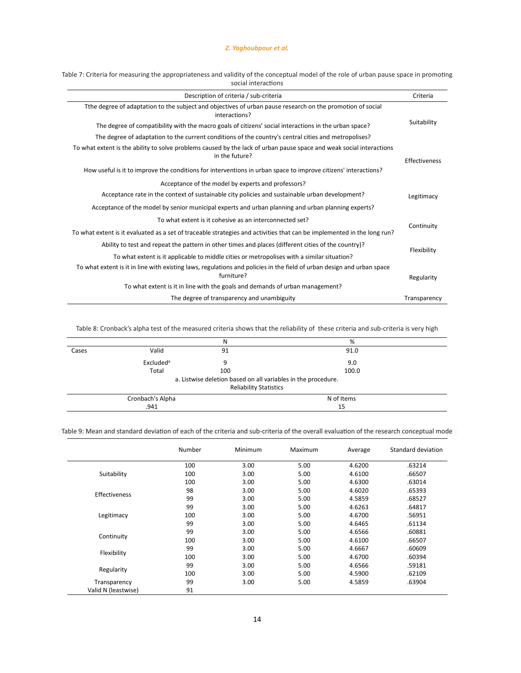| Table 7: Criteria for measuring the appropriateness and validity of the conceptual model of the role of urban pause space in promoting |  |
|----------------------------------------------------------------------------------------------------------------------------------------|--|
| social interactions                                                                                                                    |  |
|                                                                                                                                        |  |

| Description of criteria / sub-criteria                                                                                                 | Criteria      |
|----------------------------------------------------------------------------------------------------------------------------------------|---------------|
| Tthe degree of adaptation to the subject and objectives of urban pause research on the promotion of social<br>interactions?            |               |
| The degree of compatibility with the macro goals of citizens' social interactions in the urban space?                                  | Suitability   |
| The degree of adaptation to the current conditions of the country's central cities and metropolises?                                   |               |
| To what extent is the ability to solve problems caused by the lack of urban pause space and weak social interactions<br>in the future? | Effectiveness |
| How useful is it to improve the conditions for interventions in urban space to improve citizens' interactions?                         |               |
| Acceptance of the model by experts and professors?                                                                                     |               |
| Acceptance rate in the context of sustainable city policies and sustainable urban development?                                         | Legitimacy    |
| Acceptance of the model by senior municipal experts and urban planning and urban planning experts?                                     |               |
| To what extent is it cohesive as an interconnected set?                                                                                |               |
| To what extent is it evaluated as a set of traceable strategies and activities that can be implemented in the long run?                | Continuity    |
| Ability to test and repeat the pattern in other times and places (different cities of the country)?                                    |               |
| To what extent is it applicable to middle cities or metropolises with a similar situation?                                             | Flexibility   |
| To what extent is it in line with existing laws, regulations and policies in the field of urban design and urban space<br>furniture?   | Regularity    |
| To what extent is it in line with the goals and demands of urban management?                                                           |               |
| The degree of transparency and unambiguity                                                                                             | Transparency  |

Table 8: Cronback's alpha test of the measured criteria shows that the reliability of these criteria and sub-criteria is very high

|       |                       | Ν                                                                                              | %          |  |
|-------|-----------------------|------------------------------------------------------------------------------------------------|------------|--|
| Cases | Valid                 | 91                                                                                             | 91.0       |  |
|       | Excluded <sup>a</sup> | ۵                                                                                              | 9.0        |  |
|       | Total                 | 100                                                                                            | 100.0      |  |
|       |                       | a. Listwise deletion based on all variables in the procedure.<br><b>Reliability Statistics</b> |            |  |
|       | Cronbach's Alpha      |                                                                                                | N of Items |  |
|       | .941                  |                                                                                                | 15         |  |

# Table 9: Mean and standard deviation of each of the criteria and sub-criteria of the overall evaluation of the research conceptual mode

|                      | Number | Minimum | Maximum | Average | Standard deviation |
|----------------------|--------|---------|---------|---------|--------------------|
|                      | 100    | 3.00    | 5.00    | 4.6200  | .63214             |
| Suitability          | 100    | 3.00    | 5.00    | 4.6100  | .66507             |
|                      | 100    | 3.00    | 5.00    | 4.6300  | .63014             |
|                      | 98     | 3.00    | 5.00    | 4.6020  | .65393             |
| <b>Effectiveness</b> | 99     | 3.00    | 5.00    | 4.5859  | .68527             |
|                      | 99     | 3.00    | 5.00    | 4.6263  | .64817             |
| Legitimacy           | 100    | 3.00    | 5.00    | 4.6700  | .56951             |
|                      | 99     | 3.00    | 5.00    | 4.6465  | .61134             |
|                      | 99     | 3.00    | 5.00    | 4.6566  | .60881             |
| Continuity           | 100    | 3.00    | 5.00    | 4.6100  | .66507             |
|                      | 99     | 3.00    | 5.00    | 4.6667  | .60609             |
| Flexibility          | 100    | 3.00    | 5.00    | 4.6700  | .60394             |
|                      | 99     | 3.00    | 5.00    | 4.6566  | .59181             |
| Regularity           | 100    | 3.00    | 5.00    | 4.5900  | .62109             |
| Transparency         | 99     | 3.00    | 5.00    | 4.5859  | .63904             |
| Valid N (leastwise)  | 91     |         |         |         |                    |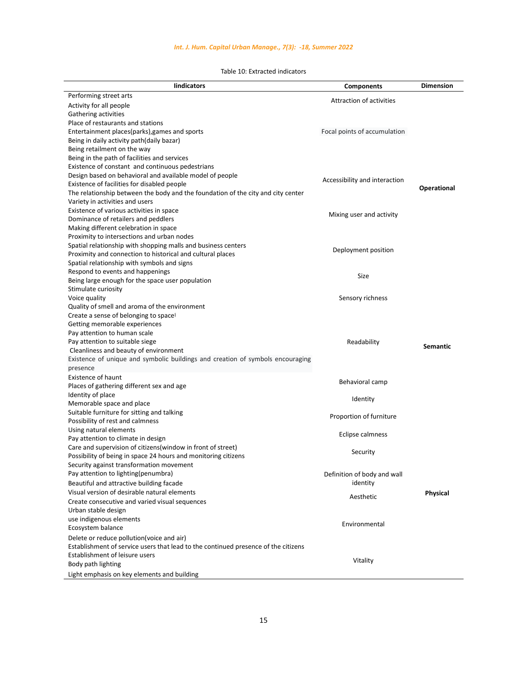| Table 10: Extracted indicators |
|--------------------------------|
|--------------------------------|

| lindicators                                                                                               | <b>Components</b>                       | <b>Dimension</b> |
|-----------------------------------------------------------------------------------------------------------|-----------------------------------------|------------------|
| Performing street arts                                                                                    | <b>Attraction of activities</b>         |                  |
| Activity for all people                                                                                   |                                         |                  |
| Gathering activities                                                                                      |                                         |                  |
| Place of restaurants and stations                                                                         |                                         |                  |
| Entertainment places(parks), games and sports                                                             | Focal points of accumulation            |                  |
| Being in daily activity path(daily bazar)                                                                 |                                         |                  |
| Being retailment on the way                                                                               |                                         |                  |
| Being in the path of facilities and services                                                              |                                         |                  |
| Existence of constant and continuous pedestrians                                                          |                                         |                  |
| Design based on behavioral and available model of people                                                  | Accessibility and interaction           |                  |
| Existence of facilities for disabled people                                                               |                                         | Operational      |
| The relationship between the body and the foundation of the city and city center                          |                                         |                  |
| Variety in activities and users                                                                           |                                         |                  |
| Existence of various activities in space                                                                  | Mixing user and activity                |                  |
| Dominance of retailers and peddlers                                                                       |                                         |                  |
| Making different celebration in space                                                                     |                                         |                  |
| Proximity to intersections and urban nodes                                                                |                                         |                  |
| Spatial relationship with shopping malls and business centers                                             | Deployment position                     |                  |
| Proximity and connection to historical and cultural places<br>Spatial relationship with symbols and signs |                                         |                  |
| Respond to events and happenings                                                                          |                                         |                  |
| Being large enough for the space user population                                                          | Size                                    |                  |
| Stimulate curiosity                                                                                       |                                         |                  |
| Voice quality                                                                                             | Sensory richness                        |                  |
| Quality of smell and aroma of the environment                                                             |                                         |                  |
| Create a sense of belonging to space!                                                                     |                                         |                  |
| Getting memorable experiences                                                                             |                                         |                  |
| Pay attention to human scale                                                                              |                                         |                  |
| Pay attention to suitable siege                                                                           | Readability                             |                  |
| Cleanliness and beauty of environment                                                                     |                                         | <b>Semantic</b>  |
| Existence of unique and symbolic buildings and creation of symbols encouraging                            |                                         |                  |
| presence                                                                                                  |                                         |                  |
| <b>Existence of haunt</b>                                                                                 | Behavioral camp                         |                  |
| Places of gathering different sex and age                                                                 |                                         |                  |
| Identity of place                                                                                         | Identity                                |                  |
| Memorable space and place                                                                                 |                                         |                  |
| Suitable furniture for sitting and talking                                                                | Proportion of furniture                 |                  |
| Possibility of rest and calmness                                                                          |                                         |                  |
| Using natural elements                                                                                    | Eclipse calmness                        |                  |
| Pay attention to climate in design                                                                        |                                         |                  |
| Care and supervision of citizens (window in front of street)                                              | Security                                |                  |
| Possibility of being in space 24 hours and monitoring citizens                                            |                                         |                  |
| Security against transformation movement<br>Pay attention to lighting(penumbra)                           |                                         |                  |
|                                                                                                           | Definition of body and wall<br>identity |                  |
| Beautiful and attractive building facade                                                                  |                                         |                  |
| Visual version of desirable natural elements                                                              | Aesthetic                               | Physical         |
| Create consecutive and varied visual sequences                                                            |                                         |                  |
| Urban stable design                                                                                       |                                         |                  |
| use indigenous elements                                                                                   | Environmental                           |                  |
| Ecosystem balance                                                                                         |                                         |                  |
| Delete or reduce pollution (voice and air)                                                                |                                         |                  |
| Establishment of service users that lead to the continued presence of the citizens                        |                                         |                  |
| Establishment of leisure users                                                                            | Vitality                                |                  |
| Body path lighting                                                                                        |                                         |                  |
| Light emphasis on key elements and building                                                               |                                         |                  |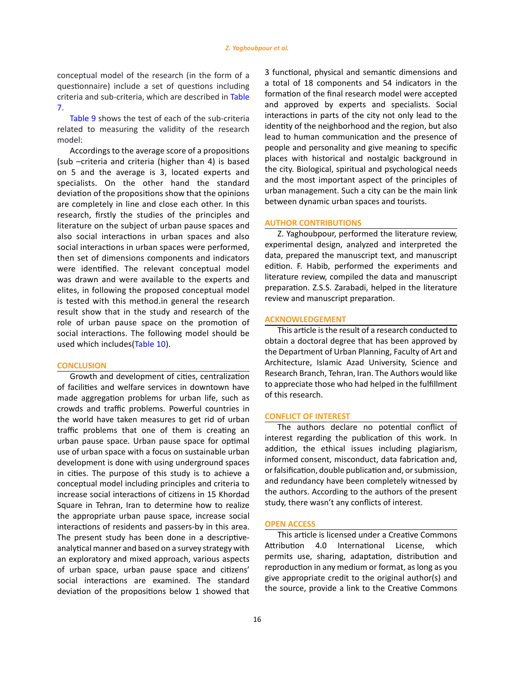conceptual model of the research (in the form of a questionnaire) include a set of questions including criteria and sub-criteria, which are described in Table 7.

Table 9 shows the test of each of the sub-criteria related to measuring the validity of the research model:

Accordings to the average score of a propositions (sub –criteria and criteria (higher than 4) is based on 5 and the average is 3, located experts and specialists. On the other hand the standard deviation of the propositions show that the opinions are completely in line and close each other. In this research, firstly the studies of the principles and literature on the subject of urban pause spaces and also social interactions in urban spaces and also social interactions in urban spaces were performed, then set of dimensions components and indicators were identified. The relevant conceptual model was drawn and were available to the experts and elites, in following the proposed conceptual model is tested with this method.in general the research result show that in the study and research of the role of urban pause space on the promotion of social interactions. The following model should be used which includes(Table 10).

### **CONCLUSION**

Growth and development of cities, centralization of facilities and welfare services in downtown have made aggregation problems for urban life, such as crowds and traffic problems. Powerful countries in the world have taken measures to get rid of urban traffic problems that one of them is creating an urban pause space. Urban pause space for optimal use of urban space with a focus on sustainable urban development is done with using underground spaces in cities. The purpose of this study is to achieve a conceptual model including principles and criteria to increase social interactions of citizens in 15 Khordad Square in Tehran, Iran to determine how to realize the appropriate urban pause space, increase social interactions of residents and passers-by in this area. The present study has been done in a descriptiveanalytical manner and based on a survey strategy with an exploratory and mixed approach, various aspects of urban space, urban pause space and citizens' social interactions are examined. The standard deviation of the propositions below 1 showed that 3 functional, physical and semantic dimensions and a total of 18 components and 54 indicators in the formation of the final research model were accepted and approved by experts and specialists. Social interactions in parts of the city not only lead to the identity of the neighborhood and the region, but also lead to human communication and the presence of people and personality and give meaning to specific places with historical and nostalgic background in the city. Biological, spiritual and psychological needs and the most important aspect of the principles of urban management. Such a city can be the main link between dynamic urban spaces and tourists.

### **AUTHOR CONTRIBUTIONS**

Z. Yaghoubpour, performed the literature review, experimental design, analyzed and interpreted the data, prepared the manuscript text, and manuscript edition. F. Habib, performed the experiments and literature review, compiled the data and manuscript preparation. Z.S.S. Zarabadi, helped in the literature review and manuscript preparation.

### **ACKNOWLEDGEMENT**

This article is the result of a research conducted to obtain a doctoral degree that has been approved by the Department of Urban Planning, Faculty of Art and Architecture, Islamic Azad University, Science and Research Branch, Tehran, Iran. The Authors would like to appreciate those who had helped in the fulfillment of this research.

### **CONFLICT OF INTEREST**

The authors declare no potential conflict of interest regarding the publication of this work. In addition, the ethical issues including plagiarism, informed consent, misconduct, data fabrication and, or falsification, double publication and, or submission, and redundancy have been completely witnessed by the authors. According to the authors of the present study, there wasn't any conflicts of interest.

### **OPEN ACCESS**

This article is licensed under a Creative Commons Attribution 4.0 International License, which permits use, sharing, adaptation, distribution and reproduction in any medium or format, as long as you give appropriate credit to the original author(s) and the source, provide a link to the Creative Commons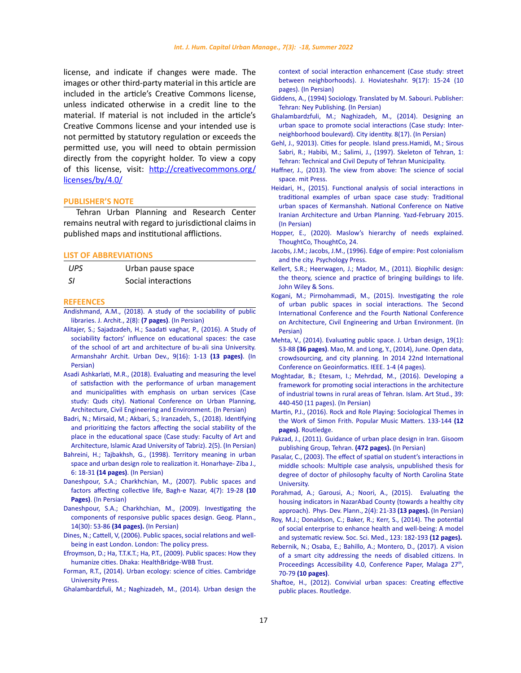license, and indicate if changes were made. The images or other third-party material in this article are included in the article's Creative Commons license, unless indicated otherwise in a credit line to the material. If material is not included in the article's Creative Commons license and your intended use is not permitted by statutory regulation or exceeds the permitted use, you will need to obtain permission directly from the copyright holder. To view a copy of this license, visit: [http://creativecommons.org/](http://creativecommons.org/licenses/by/4.0/) [licenses/by/4.0/](http://creativecommons.org/licenses/by/4.0/)

#### **PUBLISHER'S NOTE**

Tehran Urban Planning and Research Center remains neutral with regard to jurisdictional claims in published maps and institutional afflictions.

### **LIST OF ABBREVIATIONS**

| <b>UPS</b> | Urban pause space   |
|------------|---------------------|
| -SI        | Social interactions |

#### **REFEENCES**

- [Andishmand, A.M., \(2018\). A study of the sociability of public](https://memarishenasi.ir/files/cd_papers/r_225_190428103206.pdf)  [libraries. J. Archit., 2\(8\):](https://memarishenasi.ir/files/cd_papers/r_225_190428103206.pdf) **(7 pages)**. (In Persian)
- [Alitajer, S.; Sajadzadeh, H.; Saadati vaghar, P., \(2016\). A Study of](http://www.armanshahrjournal.com/article_33218_9b94a9e7931e4d0cdefbed3e36727dfa.pdf)  [sociability factors' influence on educational spaces: the case](http://www.armanshahrjournal.com/article_33218_9b94a9e7931e4d0cdefbed3e36727dfa.pdf)  [of the school of art and architecture of bu-ali sina University.](http://www.armanshahrjournal.com/article_33218_9b94a9e7931e4d0cdefbed3e36727dfa.pdf)  [Armanshahr Archit. Urban Dev., 9\(16\): 1-13](http://www.armanshahrjournal.com/article_33218_9b94a9e7931e4d0cdefbed3e36727dfa.pdf) **(13 pages)**. (In [Persian\)](http://www.armanshahrjournal.com/article_33218_9b94a9e7931e4d0cdefbed3e36727dfa.pdf)
- [Asadi Ashkarlati, M.R., \(2018\). Evaluating and measuring the level](https://www.sid.ir/fa/seminar/ViewPaper.aspx?ID=95374)  [of satisfaction with the performance of urban management](https://www.sid.ir/fa/seminar/ViewPaper.aspx?ID=95374)  [and municipalities with emphasis on urban services \(Case](https://www.sid.ir/fa/seminar/ViewPaper.aspx?ID=95374)  [study: Quds city\). National Conference on Urban Planning,](https://www.sid.ir/fa/seminar/ViewPaper.aspx?ID=95374)  [Architecture, Civil Engineering and Environment. \(In Persian\)](https://www.sid.ir/fa/seminar/ViewPaper.aspx?ID=95374)
- [Badri, N.; Mirsaid, M.; Akbari, S.; Iranzadeh, S., \(2018\). Identifying](https://www.sid.ir/fa/journal/ViewPaper.aspx?id=485042)  [and prioritizing the factors affecting the social stability of the](https://www.sid.ir/fa/journal/ViewPaper.aspx?id=485042)  [place in the educational space \(Case study: Faculty of Art and](https://www.sid.ir/fa/journal/ViewPaper.aspx?id=485042)  [Architecture, Islamic Azad University of Tabriz\). 2\(5\). \(In Persian\)](https://www.sid.ir/fa/journal/ViewPaper.aspx?id=485042)
- Bahreini, H.; Tajbakhsh, G., (1998). Territory meaning in urban space and urban design role to realization it. Honarhaye- Ziba J., 6: 18-31 **(14 pages)**. (In Persian)
- [Daneshpour, S.A.; Charkhchian, M., \(2007\). Public spaces and](http://www.bagh-sj.com/article_64.html)  [factors affecting collective life, Bagh-e Nazar, 4\(7\): 19-28](http://www.bagh-sj.com/article_64.html) **(10 Pages)**[. \(In Persian\)](http://www.bagh-sj.com/article_64.html)
- [Daneshpour, S.A.; Charkhchian, M., \(2009\). Investigating the](https://www.sid.ir/fa/journal/ViewPaper.aspx?ID=147159)  [components of responsive public spaces design. Geog. Plann.,](https://www.sid.ir/fa/journal/ViewPaper.aspx?ID=147159)  [14\(30\): 53-86](https://www.sid.ir/fa/journal/ViewPaper.aspx?ID=147159) **(34 pages).** (In Persian)
- [Dines, N.; Cattell, V, \(2006\). Public spaces, social relations and well](https://www.researchgate.net/publication/236574391_Public_spaces_social_relations_and_well_being_in_East_London)[being in east London. London: The policy press.](https://www.researchgate.net/publication/236574391_Public_spaces_social_relations_and_well_being_in_East_London)
- [Efroymson, D.; Ha, T.T.K.T.; Ha, P.T., \(2009\). Public spaces: How they](https://healthbridge.ca/dist/library/Public_Spaces_How_they_Humanize_Cities.pdf)  [humanize cities. Dhaka: HealthBridge-WBB Trust.](https://healthbridge.ca/dist/library/Public_Spaces_How_they_Humanize_Cities.pdf)
- [Forman, R.T., \(2014\). Urban ecology: science of cities. Cambridge](https://books.google.com/books?hl=en&lr=&id=gQSuAgAAQBAJ&oi=fnd&pg=PR9&dq=Rose+Square+in+Egypt+is+the+universal+experience+in+the+field+of+urban+pause+space+and+its+influences+on+different+dimensions+such+as+reduction+of+traffic,+tourism+development,+increasing+walking+and+human+centered+city+instead+of+car+centered+&ots=uiz6BFdqQy&sig=dzHbJeCXdtExfMx0n16Dp751nW8)  [University Press.](https://books.google.com/books?hl=en&lr=&id=gQSuAgAAQBAJ&oi=fnd&pg=PR9&dq=Rose+Square+in+Egypt+is+the+universal+experience+in+the+field+of+urban+pause+space+and+its+influences+on+different+dimensions+such+as+reduction+of+traffic,+tourism+development,+increasing+walking+and+human+centered+city+instead+of+car+centered+&ots=uiz6BFdqQy&sig=dzHbJeCXdtExfMx0n16Dp751nW8)
- [Ghalambardzfuli, M.; Naghizadeh, M., \(2014\). Urban design the](https://www.sid.ir/en/journal/ViewPaper.aspx?ID=408215)

[context of social interaction enhancement \(Case study: street](https://www.sid.ir/en/journal/ViewPaper.aspx?ID=408215) [between neighborhoods\). J. Hoviateshahr. 9\(17\): 15-24 \(10](https://www.sid.ir/en/journal/ViewPaper.aspx?ID=408215) [pages\). \(In Persian\)](https://www.sid.ir/en/journal/ViewPaper.aspx?ID=408215)

- [Giddens, A., \(1994\) Sociology. Translated by M. Sabouri. Publisher:](https://www.scirp.org/(S(351jmbntvnsjt1aadkposzje))/reference/ReferencesPapers.aspx?ReferenceID=1662460https://www.scirp.org/(S(351jmbntvnsjt1aadkposzje))/reference/ReferencesPapers.aspx?ReferenceID=1662460https://www.scirp.org/(S(351jmbntvnsjt1aadkposzje))/reference/ReferencesPapers.aspx?ReferenceID=1662460) [Tehran: Ney Publishing. \(In Persian\)](https://www.scirp.org/(S(351jmbntvnsjt1aadkposzje))/reference/ReferencesPapers.aspx?ReferenceID=1662460https://www.scirp.org/(S(351jmbntvnsjt1aadkposzje))/reference/ReferencesPapers.aspx?ReferenceID=1662460https://www.scirp.org/(S(351jmbntvnsjt1aadkposzje))/reference/ReferencesPapers.aspx?ReferenceID=1662460)
- [Ghalambardzfuli, M.; Naghizadeh, M., \(2014\). Designing an](https://www.scirp.org/(S(351jmbntvnsjt1aadkposzje))/reference/ReferencesPapers.aspx?ReferenceID=1662460https://www.sid.ir/fa/journal/ViewPaper.aspx?ID=221394) [urban space to promote social interactions \(Case study: Inter](https://www.scirp.org/(S(351jmbntvnsjt1aadkposzje))/reference/ReferencesPapers.aspx?ReferenceID=1662460https://www.sid.ir/fa/journal/ViewPaper.aspx?ID=221394)[neighborhood boulevard\). City identity. 8\(17\). \(In Persian\)](https://www.scirp.org/(S(351jmbntvnsjt1aadkposzje))/reference/ReferencesPapers.aspx?ReferenceID=1662460https://www.sid.ir/fa/journal/ViewPaper.aspx?ID=221394)
- [Gehl, J., 92013\). Cities for people. Island press.](https://books.google.com/books?hl=en&lr=&id=lBNJoNILqQcC&oi=fnd&pg=PR3&dq=Urban+pause+space+for+optimal+use+of+urban+space+with+a+focus+on+sustainable+urban+development+is+done+with+using+underground+spaces+in+cities&ots=hGr4u-X7fl&sig=ulE5ExsLyStMzhPT4nkudu9_NNI)[Hamidi, M.; Sirous](https://lib1.ut.ac.ir:8443/site/catalogue/1161500) [Sabri, R.; Habibi, M.; Salimi, J., \(1997\). Skeleton of Tehran, 1:](https://lib1.ut.ac.ir:8443/site/catalogue/1161500) [Tehran: Technical and Civil Deputy of Tehran Municipality.](https://lib1.ut.ac.ir:8443/site/catalogue/1161500)
- [Haffner, J., \(2013\). The view from above: The science of social](https://books.google.com/books?hl=en&lr=&id=RPQTmcK8FOQC&oi=fnd&pg=PP1&dq=In+humanistic+urbanism+the+rotation+of+powering+space+is+such+that+all+individuals,+groups+and+social+classes+have+the+right+to+participate+in+space+and+benefit+from+urban+facilities+and+services.&ots=lMP9uF4iR0&sig=VCsY-OPcaMPB9HYcLs1TI3NYkUs) [space. mit Press.](https://books.google.com/books?hl=en&lr=&id=RPQTmcK8FOQC&oi=fnd&pg=PP1&dq=In+humanistic+urbanism+the+rotation+of+powering+space+is+such+that+all+individuals,+groups+and+social+classes+have+the+right+to+participate+in+space+and+benefit+from+urban+facilities+and+services.&ots=lMP9uF4iR0&sig=VCsY-OPcaMPB9HYcLs1TI3NYkUs)
- [Heidari, H., \(2015\). Functional analysis of social interactions in](https://civilica.com/l/6231/) [traditional examples of urban space case study: Traditional](https://civilica.com/l/6231/) [urban spaces of Kermanshah. National Conference on Native](https://civilica.com/l/6231/) [Iranian Architecture and Urban Planning. Yazd-February 2015.](https://civilica.com/l/6231/) [\(In Persian\)](https://civilica.com/l/6231/)
- [Hopper, E., \(2020\). Maslow's hierarchy of needs explained.](http://www.christianworldmedia.com/client/docs/603_1585079540_17.pdf) [ThoughtCo, ThoughtCo, 24.](http://www.christianworldmedia.com/client/docs/603_1585079540_17.pdf)
- Jacobs, J.M.; Jacobs, J.M., (1996). Edge of empire: Post colonialism and the city. Psychology Press.
- [Kellert, S.R.; Heerwagen, J.; Mador, M., \(2011\). Biophilic design:](https://books.google.com/books?hl=en&lr=&id=FyNer_nQrW4C&oi=fnd&pg=PT9&dq=Paying+attention+to+the+philosophy+of+human+creation+and+utilizing+the+power+and+capacity+of+human+for+development+and+architecture+so+that+the+environment+will+be+prepared+for+responding+to+human+needs+and+in+line+with+the+same+worldwide&ots=y-f-geLXNR&sig=BuXxV08S4pdnpmARqxTrrwcHSDg) [the theory, science and practice of bringing buildings to life.](https://books.google.com/books?hl=en&lr=&id=FyNer_nQrW4C&oi=fnd&pg=PT9&dq=Paying+attention+to+the+philosophy+of+human+creation+and+utilizing+the+power+and+capacity+of+human+for+development+and+architecture+so+that+the+environment+will+be+prepared+for+responding+to+human+needs+and+in+line+with+the+same+worldwide&ots=y-f-geLXNR&sig=BuXxV08S4pdnpmARqxTrrwcHSDg) [John Wiley & Sons.](https://books.google.com/books?hl=en&lr=&id=FyNer_nQrW4C&oi=fnd&pg=PT9&dq=Paying+attention+to+the+philosophy+of+human+creation+and+utilizing+the+power+and+capacity+of+human+for+development+and+architecture+so+that+the+environment+will+be+prepared+for+responding+to+human+needs+and+in+line+with+the+same+worldwide&ots=y-f-geLXNR&sig=BuXxV08S4pdnpmARqxTrrwcHSDg)
- [Kogani, M.; Pirmohammadi, M., \(2015\). Investigating the role](https://civilica.com/doc/530592/) [of urban public spaces in social interactions. The Second](https://civilica.com/doc/530592/) [International Conference and the Fourth National Conference](https://civilica.com/doc/530592/) [on Architecture, Civil Engineering and Urban Environment. \(In](https://civilica.com/doc/530592/) [Persian\)](https://civilica.com/doc/530592/)
- [Mehta, V., \(2014\). Evaluating public space. J. Urban design, 19\(1\):](https://www.tandfonline.com/doi/abs/10.1080/13574809.2013.854698) 53-88 **[\(36 pages\)](https://www.tandfonline.com/doi/abs/10.1080/13574809.2013.854698)**. [Mao, M. and Long, Y., \(2014\), June. Open data,](https://ieeexplore.ieee.org/abstract/document/6950829/) [crowdsourcing, and city planning. In 2014 22nd International](https://ieeexplore.ieee.org/abstract/document/6950829/) [Conference on Geoinformatics. IEEE. 1-4 \(4 pages\).](https://ieeexplore.ieee.org/abstract/document/6950829/)
- Moghtadar, B.; Etesam, I.; Mehrdad, M., (2016). Developing a framework for promoting social interactions in the architecture of industrial towns in rural areas of Tehran. Islam. Art Stud., 39: 440-450 (11 pages). (In Persian)
- [Martin, P.J., \(2016\). Rock and Role Playing: Sociological Themes in](https://books.google.com/books?hl=en&lr=&id=FgvPCwAAQBAJ&oi=fnd&pg=PA117&dq=Martin+Bopper+rightly+call+it+%E2%80%9Cthe+relationship+between+me+and+you&ots=PahwW3uDeH&sig=OClTuxAvSmNCf4O0BuTEe4Wh8zA) [the Work of Simon Frith. Popular Music Matters. 133-144](https://books.google.com/books?hl=en&lr=&id=FgvPCwAAQBAJ&oi=fnd&pg=PA117&dq=Martin+Bopper+rightly+call+it+%E2%80%9Cthe+relationship+between+me+and+you&ots=PahwW3uDeH&sig=OClTuxAvSmNCf4O0BuTEe4Wh8zA) **(12 pages)**[. Routledge.](https://books.google.com/books?hl=en&lr=&id=FgvPCwAAQBAJ&oi=fnd&pg=PA117&dq=Martin+Bopper+rightly+call+it+%E2%80%9Cthe+relationship+between+me+and+you&ots=PahwW3uDeH&sig=OClTuxAvSmNCf4O0BuTEe4Wh8zA)
- [Pakzad, J., \(2011\). Guidance of urban place design in Iran. Gisoom](https://www.gisoom.com/book/1738746/%DA%A9%D8%AA%D8%A7%D8%A8-%D8%B1%D8%A7%D9%87%D9%86%D9%85%D8%A7%DB%8C-%D8%B7%D8%B1%D8%A7%D8%AD%DB%8C-%D9%81%D8%B6%D8%A7%D9%87%D8%A7%DB%8C-%D8%B4%D9%87%D8%B1%DB%8C/) [publishing Group, Tehran.](https://www.gisoom.com/book/1738746/%DA%A9%D8%AA%D8%A7%D8%A8-%D8%B1%D8%A7%D9%87%D9%86%D9%85%D8%A7%DB%8C-%D8%B7%D8%B1%D8%A7%D8%AD%DB%8C-%D9%81%D8%B6%D8%A7%D9%87%D8%A7%DB%8C-%D8%B4%D9%87%D8%B1%DB%8C/) **(472 pages).** (In Persian)
- [Pasalar, C., \(2003\). The effect of spatial on student's interactions in](https://www.semanticscholar.org/paper/The-Effects-of-Spatial-Layouts-on-Students) [middle schools: Multiple case analysis, unpublished thesis for](https://www.semanticscholar.org/paper/The-Effects-of-Spatial-Layouts-on-Students) [degree of doctor of philosophy faculty of North Carolina State](https://www.semanticscholar.org/paper/The-Effects-of-Spatial-Layouts-on-Students) [University.](https://www.semanticscholar.org/paper/The-Effects-of-Spatial-Layouts-on-Students)
- [Porahmad, A.; Garousi, A.; Noori, A., \(2015\). Evaluating the](https://psp.journals.pnu.ac.ir/article_2410.html) [housing indicators in NazarAbad County \(towards a healthy city](https://psp.journals.pnu.ac.ir/article_2410.html) [approach\). Phys. Dev. Plann., 2\(4\): 21-33](https://psp.journals.pnu.ac.ir/article_2410.html) **(13 pages).** (In Persian)
- [Roy, M.J.; Donaldson, C.; Baker, R.; Kerr, S., \(2014\). The potential](https://www.sciencedirect.com/science/article/pii/S0277953614004602) [of social enterprise to enhance health and well-being: A model](https://www.sciencedirect.com/science/article/pii/S0277953614004602) [and systematic review. Soc. Sci. Med., 123: 182-193](https://www.sciencedirect.com/science/article/pii/S0277953614004602) **(12 pages).**
- [Rebernik, N.; Osaba, E.; Bahillo, A.; Montero, D., \(2017\). A vision](https://www.academia.edu/download/56659036/DRT-TPT4ALL_2017_Paper_16_Final_Published.pdf) [of a smart city addressing the needs of disabled citizens. In](https://www.academia.edu/download/56659036/DRT-TPT4ALL_2017_Paper_16_Final_Published.pdf) Proceedings Accessibility 4.0, Conference Paper, Malaga 27<sup>th</sup>, 70-79 **[\(10 pages\)](https://www.academia.edu/download/56659036/DRT-TPT4ALL_2017_Paper_16_Final_Published.pdf)**.
- [Shaftoe, H., \(2012\). Convivial urban spaces: Creating effective](https://www.taylorfrancis.com/books/mono/10.4324/9781849770873/convivial-urban-spaces-henry-shaftoe) [public places. Routledge.](https://www.taylorfrancis.com/books/mono/10.4324/9781849770873/convivial-urban-spaces-henry-shaftoe)